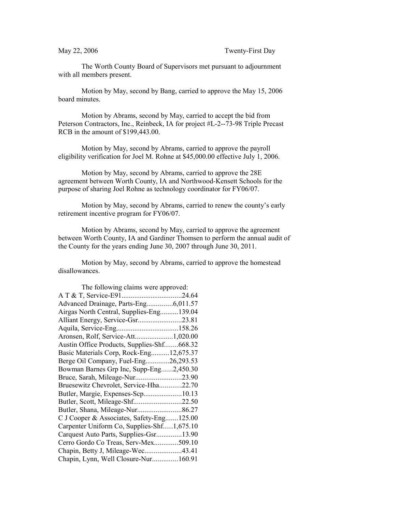The Worth County Board of Supervisors met pursuant to adjournment with all members present.

Motion by May, second by Bang, carried to approve the May 15, 2006 board minutes.

Motion by Abrams, second by May, carried to accept the bid from Peterson Contractors, Inc., Reinbeck, IA for project #L-2--73-98 Triple Precast RCB in the amount of \$199,443.00.

Motion by May, second by Abrams, carried to approve the payroll eligibility verification for Joel M. Rohne at \$45,000.00 effective July 1, 2006.

Motion by May, second by Abrams, carried to approve the 28E agreement between Worth County, IA and Northwood-Kensett Schools for the purpose of sharing Joel Rohne as technology coordinator for FY06/07.

Motion by May, second by Abrams, carried to renew the county's early retirement incentive program for FY06/07.

Motion by Abrams, second by May, carried to approve the agreement between Worth County, IA and Gardiner Thomsen to perform the annual audit of the County for the years ending June 30, 2007 through June 30, 2011.

Motion by May, second by Abrams, carried to approve the homestead disallowances.

| The following claims were approved:        |  |  |
|--------------------------------------------|--|--|
|                                            |  |  |
| Advanced Drainage, Parts-Eng6,011.57       |  |  |
| Airgas North Central, Supplies-Eng139.04   |  |  |
|                                            |  |  |
|                                            |  |  |
| Aronsen, Rolf, Service-Att1,020.00         |  |  |
| Austin Office Products, Supplies-Shf668.32 |  |  |
| Basic Materials Corp, Rock-Eng12,675.37    |  |  |
| Berge Oil Company, Fuel-Eng26,293.53       |  |  |
| Bowman Barnes Grp Inc, Supp-Eng2,450.30    |  |  |
|                                            |  |  |
| Bruesewitz Chevrolet, Service-Hha22.70     |  |  |
| Butler, Margie, Expenses-Scp10.13          |  |  |
| Butler, Scott, Mileage-Shf22.50            |  |  |
|                                            |  |  |
| C J Cooper & Associates, Safety-Eng125.00  |  |  |
| Carpenter Uniform Co, Supplies-Shf1,675.10 |  |  |
| Carquest Auto Parts, Supplies-Gsr13.90     |  |  |
| Cerro Gordo Co Treas, Serv-Mex509.10       |  |  |
| Chapin, Betty J, Mileage-Wec43.41          |  |  |
| Chapin, Lynn, Well Closure-Nur160.91       |  |  |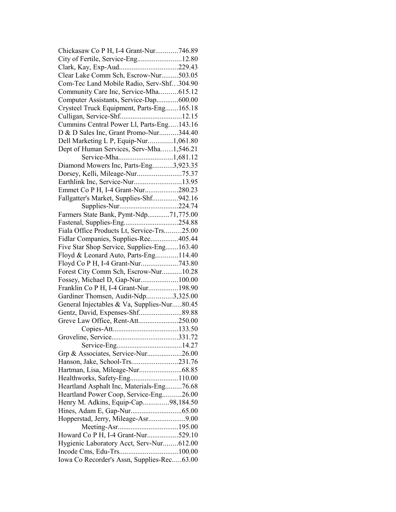| Chickasaw Co P H, I-4 Grant-Nur746.89                         |  |
|---------------------------------------------------------------|--|
| City of Fertile, Service-Eng12.80                             |  |
| Clark, Kay, Exp-Aud229.43                                     |  |
| Clear Lake Comm Sch, Escrow-Nur503.05                         |  |
| Com-Tec Land Mobile Radio, Serv-Shf304.90                     |  |
| Community Care Inc, Service-Mha615.12                         |  |
| Computer Assistants, Service-Dap600.00                        |  |
| Crysteel Truck Equipment, Parts-Eng165.18                     |  |
| Culligan, Service-Shf12.15                                    |  |
| Cummins Central Power Ll, Parts-Eng143.16                     |  |
| D & D Sales Inc, Grant Promo-Nur344.40                        |  |
| Dell Marketing L P, Equip-Nur1,061.80                         |  |
| Dept of Human Services, Serv-Mha1,546.21                      |  |
| Service-Mha1,681.12                                           |  |
| Diamond Mowers Inc, Parts-Eng3,923.35                         |  |
|                                                               |  |
| Earthlink Inc, Service-Nur13.95                               |  |
| Emmet Co P H, I-4 Grant-Nur280.23                             |  |
|                                                               |  |
| Fallgatter's Market, Supplies-Shf942.16<br>Supplies-Nur224.74 |  |
|                                                               |  |
| Farmers State Bank, Pymt-Ndp71,775.00                         |  |
|                                                               |  |
| Fiala Office Products Lt, Service-Trs25.00                    |  |
| Fidlar Companies, Supplies-Rec405.44                          |  |
| Five Star Shop Service, Supplies-Eng163.40                    |  |
| Floyd & Leonard Auto, Parts-Eng114.40                         |  |
| Floyd Co P H, I-4 Grant-Nur743.80                             |  |
| Forest City Comm Sch, Escrow-Nur10.28                         |  |
| Fossey, Michael D, Gap-Nur100.00                              |  |
| Franklin Co P H, I-4 Grant-Nur198.90                          |  |
| Gardiner Thomsen, Audit-Ndp3,325.00                           |  |
| General Injectables & Va, Supplies-Nur80.45                   |  |
|                                                               |  |
| Greve Law Office, Rent-Att250.00                              |  |
|                                                               |  |
|                                                               |  |
|                                                               |  |
| Grp & Associates, Service-Nur26.00                            |  |
| Hanson, Jake, School-Trs231.76                                |  |
|                                                               |  |
| Healthworks, Safety-Eng110.00                                 |  |
| Heartland Asphalt Inc, Materials-Eng76.68                     |  |
| Heartland Power Coop, Service-Eng26.00                        |  |
| Henry M. Adkins, Equip-Cap98,184.50                           |  |
|                                                               |  |
| Hopperstad, Jerry, Mileage-Asr9.00                            |  |
| Meeting-Asr195.00                                             |  |
| Howard Co P H, I-4 Grant-Nur529.10                            |  |
| Hygienic Laboratory Acct, Serv-Nur612.00                      |  |
|                                                               |  |
| Iowa Co Recorder's Assn, Supplies-Rec63.00                    |  |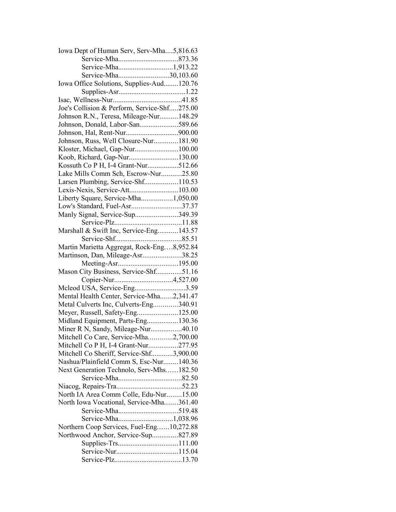| Iowa Dept of Human Serv, Serv-Mha5,816.63    |  |
|----------------------------------------------|--|
|                                              |  |
|                                              |  |
| Service-Mha30,103.60                         |  |
| Iowa Office Solutions, Supplies-Aud120.76    |  |
|                                              |  |
|                                              |  |
| Joe's Collision & Perform, Service-Shf275.00 |  |
| Johnson R.N., Teresa, Mileage-Nur148.29      |  |
| Johnson, Donald, Labor-San589.66             |  |
|                                              |  |
| Johnson, Russ, Well Closure-Nur181.90        |  |
| Kloster, Michael, Gap-Nur100.00              |  |
| Koob, Richard, Gap-Nur130.00                 |  |
| Kossuth Co P H, I-4 Grant-Nur512.66          |  |
| Lake Mills Comm Sch, Escrow-Nur25.80         |  |
| Larsen Plumbing, Service-Shf110.53           |  |
| Lexis-Nexis, Service-Att103.00               |  |
|                                              |  |
| Liberty Square, Service-Mha1,050.00          |  |
| Low's Standard, Fuel-Asr37.37                |  |
| Manly Signal, Service-Sup349.39              |  |
|                                              |  |
| Marshall & Swift Inc, Service-Eng143.57      |  |
|                                              |  |
| Martin Marietta Aggregat, Rock-Eng8,952.84   |  |
| Martinson, Dan, Mileage-Asr38.25             |  |
|                                              |  |
| Mason City Business, Service-Shf51.16        |  |
|                                              |  |
| Mcleod USA, Service-Eng3.59                  |  |
| Mental Health Center, Service-Mha2,341.47    |  |
| Metal Culverts Inc, Culverts-Eng340.91       |  |
| Meyer, Russell, Safety-Eng125.00             |  |
| Midland Equipment, Parts-Eng130.36           |  |
| Miner R N, Sandy, Mileage-Nur40.10           |  |
| Mitchell Co Care, Service-Mha2,700.00        |  |
| Mitchell Co P H, I-4 Grant-Nur277.95         |  |
| Mitchell Co Sheriff, Service-Shf3,900.00     |  |
| Nashua/Plainfield Comm S, Esc-Nur140.36      |  |
| Next Generation Technolo, Serv-Mhs182.50     |  |
|                                              |  |
|                                              |  |
| North IA Area Comm Colle, Edu-Nur15.00       |  |
| North Iowa Vocational, Service-Mha361.40     |  |
|                                              |  |
| Service-Mha1,038.96                          |  |
| Northern Coop Services, Fuel-Eng10,272.88    |  |
| Northwood Anchor, Service-Sup827.89          |  |
|                                              |  |
|                                              |  |
|                                              |  |
|                                              |  |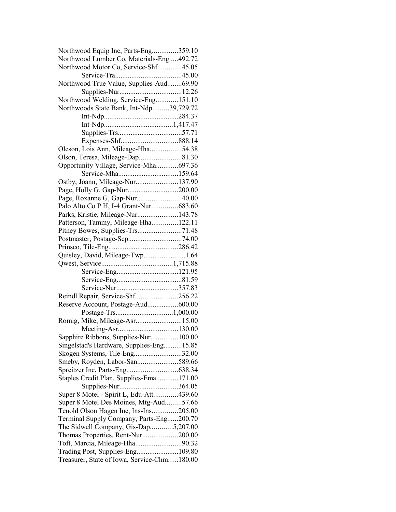| Northwood Equip Inc, Parts-Eng359.10                          |  |
|---------------------------------------------------------------|--|
| Northwood Lumber Co, Materials-Eng492.72                      |  |
| Northwood Motor Co, Service-Shf45.05                          |  |
|                                                               |  |
| Northwood True Value, Supplies-Aud69.90                       |  |
|                                                               |  |
| Northwood Welding, Service-Eng151.10                          |  |
| Northwoods State Bank, Int-Ndp39,729.72                       |  |
|                                                               |  |
|                                                               |  |
|                                                               |  |
|                                                               |  |
| Oleson, Lois Ann, Mileage-Hha54.38                            |  |
| Olson, Teresa, Mileage-Dap81.30                               |  |
| Opportunity Village, Service-Mha697.36                        |  |
| Service-Mha159.64                                             |  |
|                                                               |  |
| Ostby, Joann, Mileage-Nur137.90                               |  |
|                                                               |  |
| Page, Roxanne G, Gap-Nur40.00                                 |  |
| Palo Alto Co P H, I-4 Grant-Nur683.60                         |  |
| Parks, Kristie, Mileage-Nur143.78                             |  |
| Patterson, Tammy, Mileage-Hha122.11                           |  |
|                                                               |  |
|                                                               |  |
|                                                               |  |
| Quisley, David, Mileage-Twp1.64                               |  |
|                                                               |  |
|                                                               |  |
|                                                               |  |
| Service-Nur357.83                                             |  |
| Reindl Repair, Service-Shf256.22                              |  |
| Reserve Account, Postage-Aud600.00                            |  |
|                                                               |  |
|                                                               |  |
|                                                               |  |
| Sapphire Ribbons, Supplies-Nur100.00                          |  |
| Singelstad's Hardware, Supplies-Eng15.85                      |  |
| Skogen Systems, Tile-Eng32.00                                 |  |
| Smeby, Royden, Labor-San589.66                                |  |
|                                                               |  |
| Staples Credit Plan, Supplies-Ema171.00                       |  |
|                                                               |  |
| Supplies-Nur364.05<br>Super 8 Motel - Spirit L, Edu-Att439.60 |  |
|                                                               |  |
| Super 8 Motel Des Moines, Mtg-Aud57.66                        |  |
| Tenold Olson Hagen Inc, Ins-Ins205.00                         |  |
| Terminal Supply Company, Parts-Eng200.70                      |  |
| The Sidwell Company, Gis-Dap5,207.00                          |  |
| Thomas Properties, Rent-Nur200.00                             |  |
| Toft, Marcia, Mileage-Hha90.32                                |  |
|                                                               |  |
| Treasurer, State of Iowa, Service-Chm180.00                   |  |